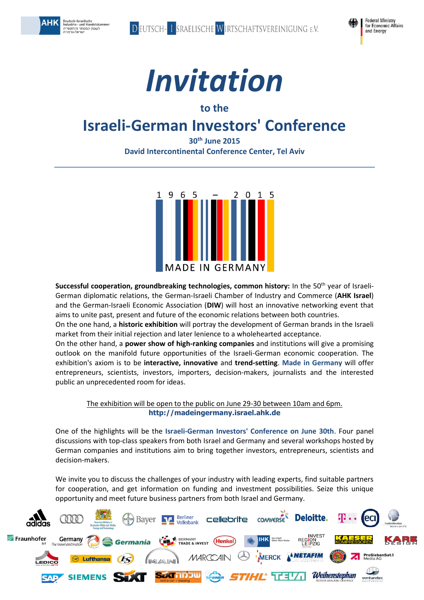

Deutsch-Israelische<br>Industrie- und Handelskammer<br>לשכת המסחר והתעשייה<br>ישראל-גרמניה

АНК





### **to the**

## **Israeli-German Investors' Conference**

**30th June 2015 David Intercontinental Conference Center, Tel Aviv**



**Successful cooperation, groundbreaking technologies, common history:** In the 50<sup>th</sup> year of Israeli-German diplomatic relations, the German-Israeli Chamber of Industry and Commerce (**AHK Israel**) and the German-Israeli Economic Association (**DIW**) will host an innovative networking event that aims to unite past, present and future of the economic relations between both countries.

On the one hand, a **historic exhibition** will portray the development of German brands in the Israeli market from their initial rejection and later lenience to a wholehearted acceptance.

On the other hand, a **power show of high-ranking companies** and institutions will give a promising outlook on the manifold future opportunities of the Israeli-German economic cooperation. The exhibition's axiom is to be **interactive, innovative** and **trend-setting**. **Made in Germany** will offer entrepreneurs, scientists, investors, importers, decision-makers, journalists and the interested public an unprecedented room for ideas.

The exhibition will be open to the public on June 29-30 between 10am and 6pm. **[http://madeingermany.israel.ahk.de](http://madeingermany.israel.ahk.de/)**

One of the highlights will be the **Israeli-German Investors' Conference on June 30th**. Four panel discussions with top-class speakers from both Israel and Germany and several workshops hosted by German companies and institutions aim to bring together investors, entrepreneurs, scientists and decision-makers.

We invite you to discuss the challenges of your industry with leading experts, find suitable partners for cooperation, and get information on funding and investment possibilities. Seize this unique opportunity and meet future business partners from both Israel and Germany.

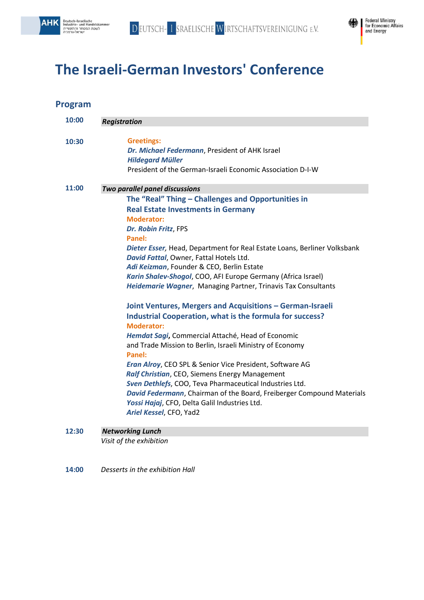



# **The Israeli-German Investors' Conference**

| 10:00 | <b>Registration</b>                                                          |
|-------|------------------------------------------------------------------------------|
|       |                                                                              |
| 10:30 | <b>Greetings:</b>                                                            |
|       | Dr. Michael Federmann, President of AHK Israel                               |
|       | <b>Hildegard Müller</b>                                                      |
|       | President of the German-Israeli Economic Association D-I-W                   |
| 11:00 | Two parallel panel discussions                                               |
|       | The "Real" Thing - Challenges and Opportunities in                           |
|       | <b>Real Estate Investments in Germany</b>                                    |
|       | <b>Moderator:</b>                                                            |
|       | Dr. Robin Fritz, FPS                                                         |
|       | Panel:                                                                       |
|       | Dieter Esser, Head, Department for Real Estate Loans, Berliner Volksbank     |
|       | David Fattal, Owner, Fattal Hotels Ltd.                                      |
|       | Adi Keizman, Founder & CEO, Berlin Estate                                    |
|       | Karin Shalev-Shogol, COO, AFI Europe Germany (Africa Israel)                 |
|       | Heidemarie Wagner, Managing Partner, Trinavis Tax Consultants                |
|       | Joint Ventures, Mergers and Acquisitions - German-Israeli                    |
|       | <b>Industrial Cooperation, what is the formula for success?</b>              |
|       | <b>Moderator:</b>                                                            |
|       | Hemdat Sagi, Commercial Attaché, Head of Economic                            |
|       | and Trade Mission to Berlin, Israeli Ministry of Economy<br>Panel:           |
|       | Eran Alroy, CEO SPL & Senior Vice President, Software AG                     |
|       | Ralf Christian, CEO, Siemens Energy Management                               |
|       | Sven Dethlefs, COO, Teva Pharmaceutical Industries Ltd.                      |
|       | <b>David Federmann, Chairman of the Board, Freiberger Compound Materials</b> |
|       | Yossi Hajaj, CFO, Delta Galil Industries Ltd.                                |
|       | Ariel Kessel, CFO, Yad2                                                      |
|       |                                                                              |

#### **12:30** *Networking Lunch*

*Visit of the exhibition*

**14:00** *Desserts in the exhibition Hall*